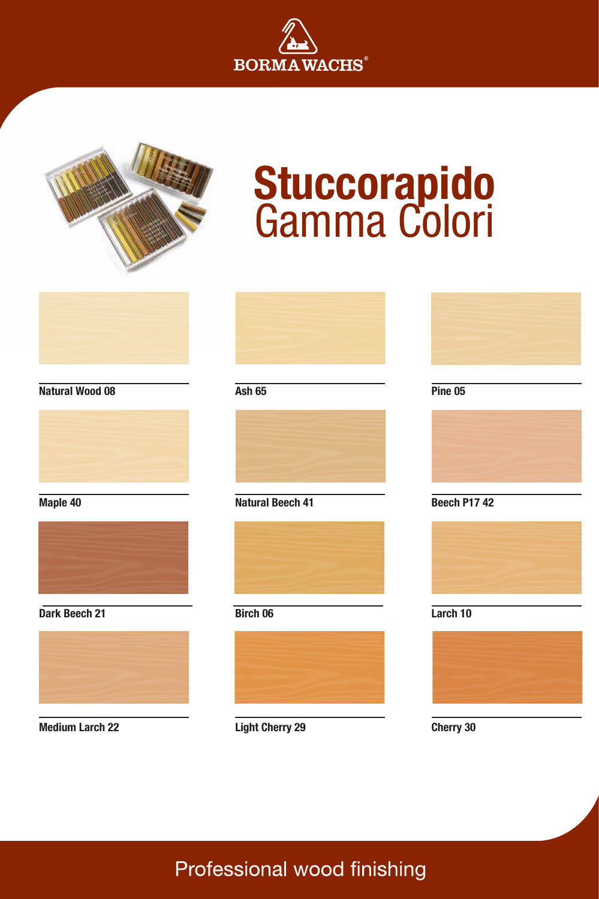



# **Stuccorapido** Gamma Colori



### **Natural Wood 08**



### **Maple 40**



### **Dark Beech 21**



### **Medium Larch 22**

**Ash 65**



### **Natural Beech 41**



### **Birch 06**



### **Pine 05**



### **Beech P17 42**



### **Larch 10**



### **Cherry 30**

### **Light Cherry 29**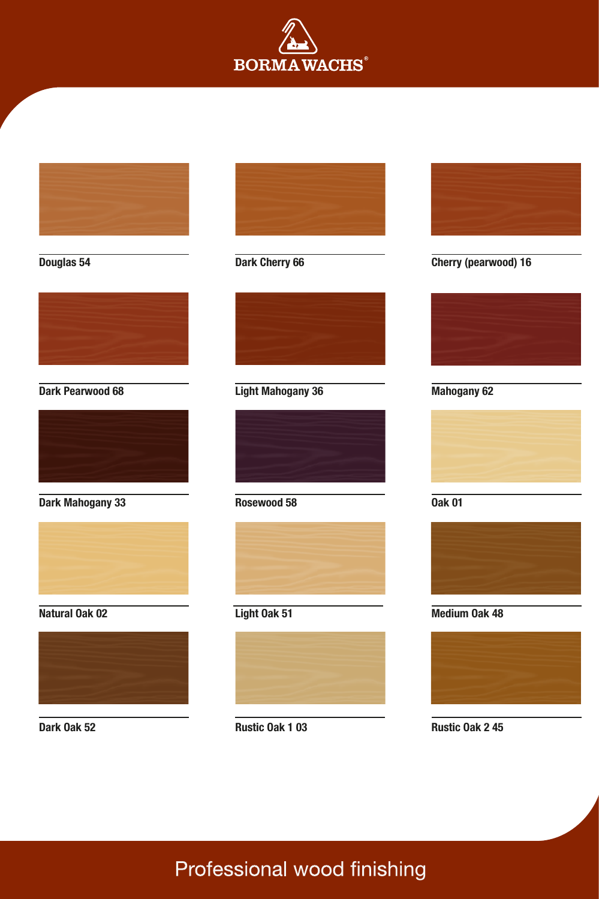

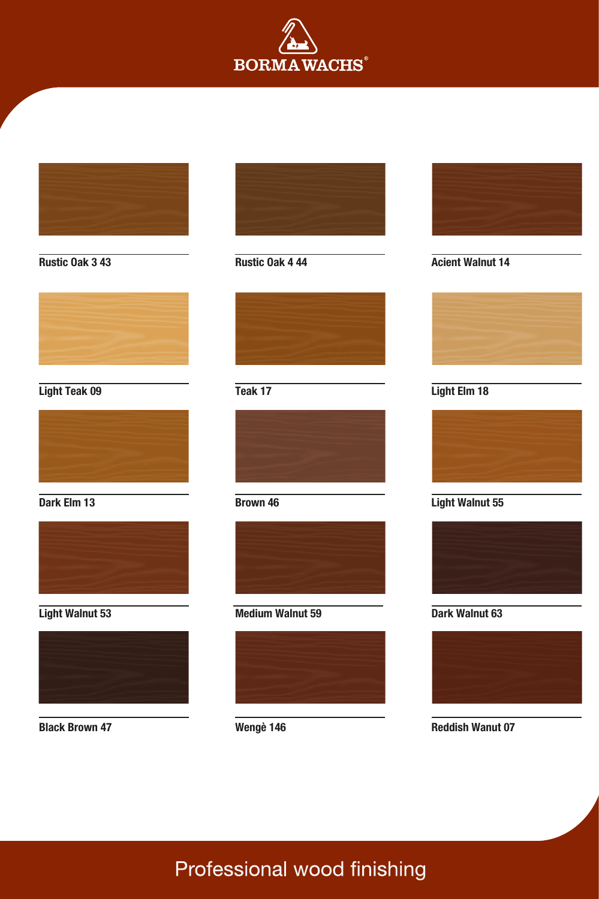



**Black Brown 47**





### **Teak 17**



### **Brown 46**



### **Medium Walnut 59**



### **Wengè 146**





### **Light Elm 18**



### **Light Walnut 55**



### **Dark Walnut 63**



**Reddish Wanut 07**

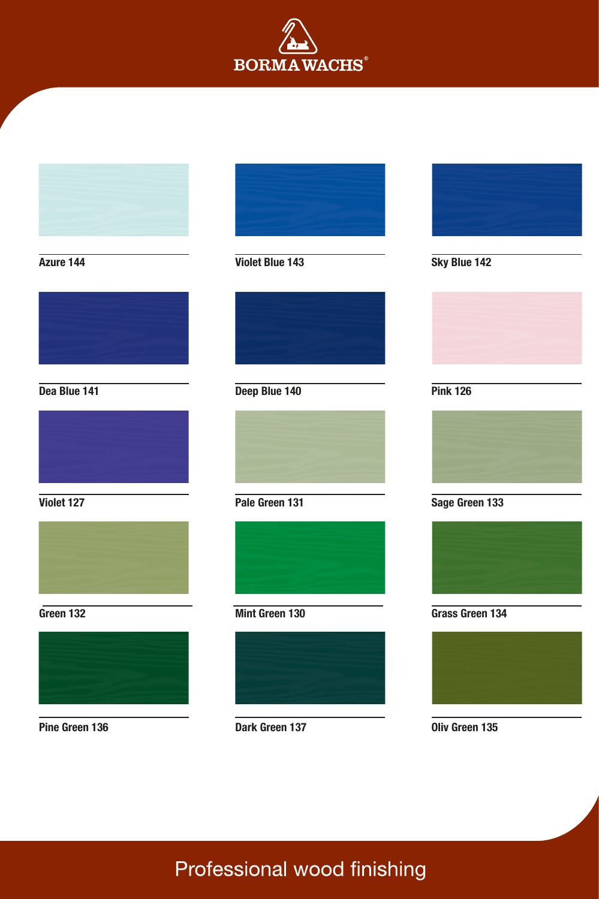

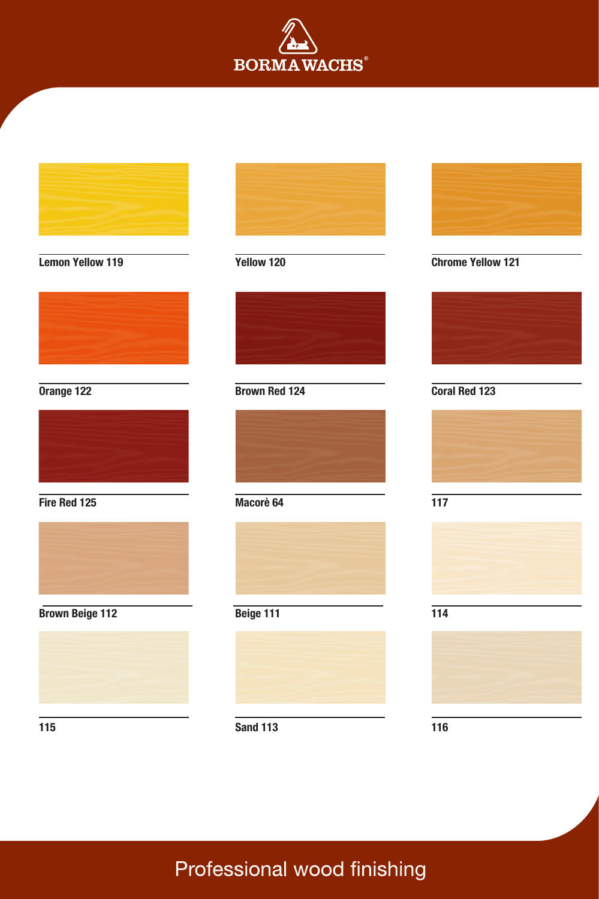

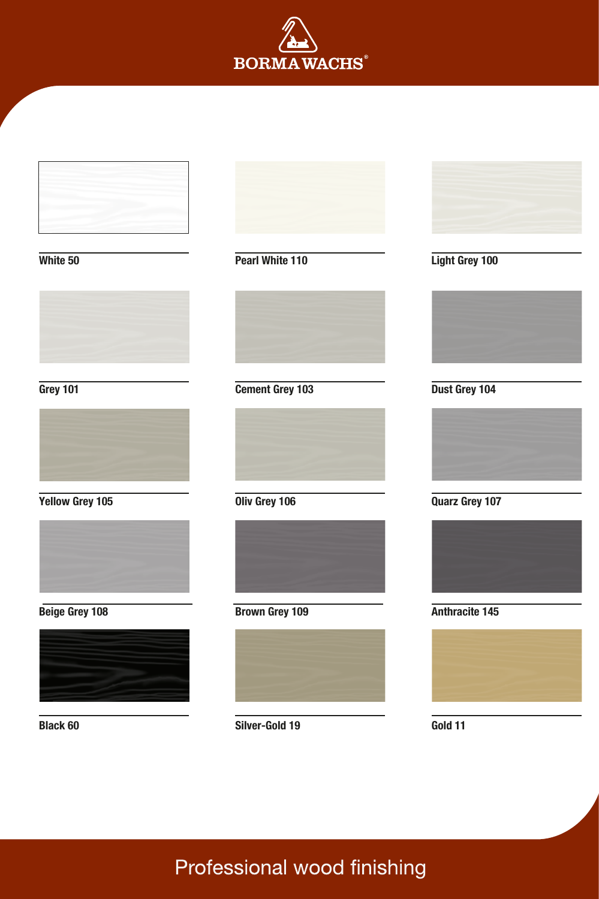